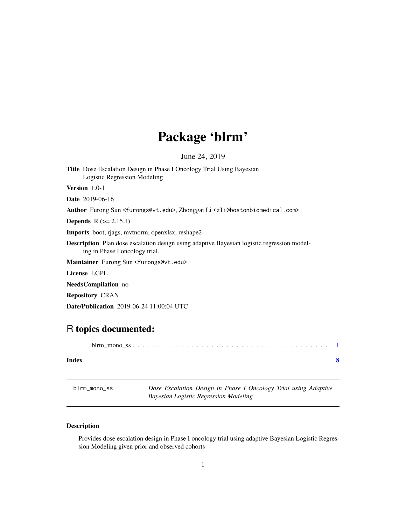## Package 'blrm'

June 24, 2019

<span id="page-0-0"></span>Title Dose Escalation Design in Phase I Oncology Trial Using Bayesian Logistic Regression Modeling

Version 1.0-1

Date 2019-06-16

Author Furong Sun <furongs@vt.edu>, Zhonggai Li <zli@bostonbiomedical.com>

**Depends**  $R (= 2.15.1)$ 

Imports boot, rjags, mvtnorm, openxlsx, reshape2

Description Plan dose escalation design using adaptive Bayesian logistic regression modeling in Phase I oncology trial.

Maintainer Furong Sun <furongs@vt.edu>

License LGPL

NeedsCompilation no

Repository CRAN

Date/Publication 2019-06-24 11:00:04 UTC

### R topics documented:

|--|--|--|--|--|--|--|--|--|--|--|--|--|--|--|--|--|--|--|--|--|--|--|--|--|--|--|--|--|--|--|--|--|--|--|--|

#### **Index** [8](#page-7-0) **8**

blrm\_mono\_ss *Dose Escalation Design in Phase I Oncology Trial using Adaptive Bayesian Logistic Regression Modeling*

#### Description

Provides dose escalation design in Phase I oncology trial using adaptive Bayesian Logistic Regression Modeling given prior and observed cohorts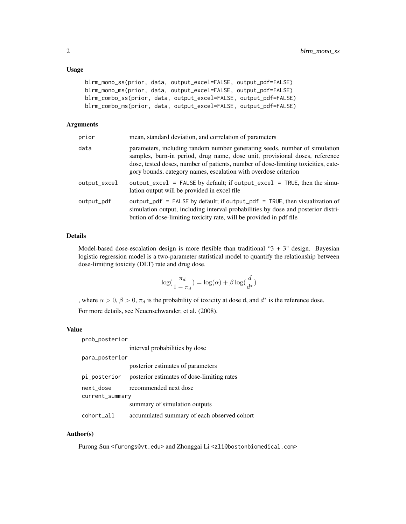#### Usage

```
blrm_mono_ss(prior, data, output_excel=FALSE, output_pdf=FALSE)
blrm_mono_ms(prior, data, output_excel=FALSE, output_pdf=FALSE)
blrm_combo_ss(prior, data, output_excel=FALSE, output_pdf=FALSE)
blrm_combo_ms(prior, data, output_excel=FALSE, output_pdf=FALSE)
```
#### Arguments

| prior        | mean, standard deviation, and correlation of parameters                                                                                                                                                                                                                                                           |
|--------------|-------------------------------------------------------------------------------------------------------------------------------------------------------------------------------------------------------------------------------------------------------------------------------------------------------------------|
| data         | parameters, including random number generating seeds, number of simulation<br>samples, burn-in period, drug name, dose unit, provisional doses, reference<br>dose, tested doses, number of patients, number of dose-limiting toxicities, cate-<br>gory bounds, category names, escalation with overdose criterion |
| output_excel | output_excel = FALSE by default; if output_excel = TRUE, then the simu-<br>lation output will be provided in excel file.                                                                                                                                                                                          |
| output_pdf   | output_pdf = FALSE by default; if output_pdf = TRUE, then visualization of<br>simulation output, including interval probabilities by dose and posterior distri-<br>bution of dose-limiting toxicity rate, will be provided in pdf file                                                                            |

#### Details

Model-based dose-escalation design is more flexible than traditional " $3 + 3$ " design. Bayesian logistic regression model is a two-parameter statistical model to quantify the relationship between dose-limiting toxicity (DLT) rate and drug dose.

$$
\log(\frac{\pi_d}{1 - \pi_d}) = \log(\alpha) + \beta \log(\frac{d}{d^*})
$$

, where  $\alpha > 0$ ,  $\beta > 0$ ,  $\pi_d$  is the probability of toxicity at dose d, and  $d^*$  is the reference dose. For more details, see Neuenschwander, et al. (2008).

#### Value

prob\_posterior

interval probabilities by dose

#### para\_posterior

|                 | posterior estimates of parameters                       |
|-----------------|---------------------------------------------------------|
|                 | pi_posterior posterior estimates of dose-limiting rates |
| next_dose       | recommended next dose                                   |
| current_summary |                                                         |
|                 | summary of simulation outputs                           |
| cohort_all      | accumulated summary of each observed cohort             |

#### Author(s)

Furong Sun <furongs@vt.edu> and Zhonggai Li <zli@bostonbiomedical.com>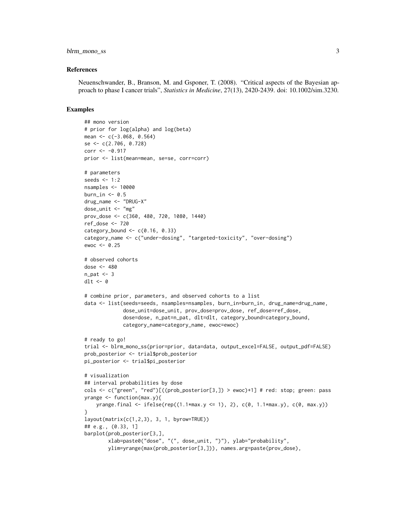#### blrm\_mono\_ss 3

#### References

Neuenschwander, B., Branson, M. and Gsponer, T. (2008). "Critical aspects of the Bayesian approach to phase I cancer trials", *Statistics in Medicine*, 27(13), 2420-2439. doi: 10.1002/sim.3230.

#### Examples

```
## mono version
# prior for log(alpha) and log(beta)
mean <-c(-3.068, 0.564)se <- c(2.706, 0.728)
corr < -0.917prior <- list(mean=mean, se=se, corr=corr)
# parameters
seeds <-1:2nsamples <- 10000
burn_in <-0.5drug_name <- "DRUG-X"
dose_unit <- "mg"
prov_dose <- c(360, 480, 720, 1080, 1440)
ref_dose <- 720
category_bound \leq c(0.16, 0.33)
category_name <- c("under-dosing", "targeted-toxicity", "over-dosing")
ewoc \leq -0.25# observed cohorts
dose <- 480
n<sub>-pat</sub> <-3dlt <- 0
# combine prior, parameters, and observed cohorts to a list
data <- list(seeds=seeds, nsamples=nsamples, burn_in=burn_in, drug_name=drug_name,
             dose_unit=dose_unit, prov_dose=prov_dose, ref_dose=ref_dose,
             dose=dose, n_pat=n_pat, dlt=dlt, category_bound=category_bound,
             category_name=category_name, ewoc=ewoc)
# ready to go!
trial <- blrm_mono_ss(prior=prior, data=data, output_excel=FALSE, output_pdf=FALSE)
prob_posterior <- trial$prob_posterior
pi_posterior <- trial$pi_posterior
# visualization
## interval probabilities by dose
cols <- c("green", "red")[((prob_posterior[3,]) > ewoc)+1] # red: stop; green: pass
yrange \leq funchation(max.y)yrange.final <- ifelse(rep((1.1 \times max.y \le 1), 2), c(0, 1.1 \times max.y), c(0, max.y))
}
layout(matrix(c(1,2,3), 3, 1, byrow=TRUE))
## e.g., (0.33, 1]
barplot(prob_posterior[3,],
        xlab=paste0("dose", "(", dose_unit, ")"), ylab="probability",
        ylim=yrange(max(prob_posterior[3,])), names.arg=paste(prov_dose),
```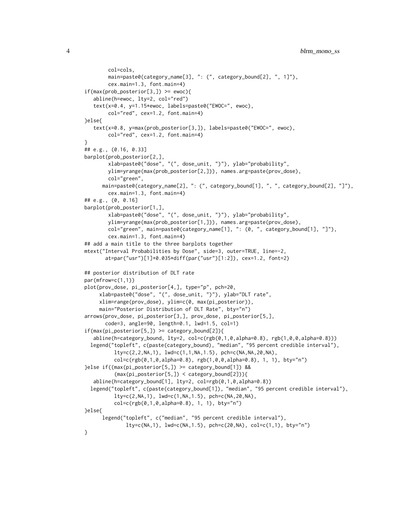```
col=cols,
        main=paste0(category_name[3], ": (", category_bound[2], ", 1]"),
        cex.main=1.3, font.main=4)
if(max(prob\_posterior[3,]) \geq ewoc)abline(h=ewoc, lty=2, col="red")
   text(x=0.4, y=1.15*ewoc, labels=paste0("EWOC=", ewoc),
        col="red", cex=1.2, font.main=4)
}else{
   text(x=0.8, y=max(prob_posterior[3,]), labels=paste0("EWOC=", ewoc),
        col="red", cex=1.2, font.main=4)
}
## e.g., (0.16, 0.33]
barplot(prob_posterior[2,],
        xlab=paste0("dose", "(", dose_unit, ")"), ylab="probability",
        ylim=yrange(max(prob_posterior[2,])), names.arg=paste(prov_dose),
        col="green",
      main=paste0(category_name[2], ": (", category_bound[1], ", ", category_bound[2], "]"),
        cex.main=1.3, font.main=4)
## e.g., (0, 0.16]
barplot(prob_posterior[1,],
        xlab=paste0("dose", "(", dose_unit, ")"), ylab="probability",
        ylim=yrange(max(prob_posterior[1,])), names.arg=paste(prov_dose),
        col="green", main=paste0(category_name[1], ": (0, ", category_bound[1], "]"),
        cex.main=1.3, font.main=4)
## add a main title to the three barplots together
mtext("Interval Probabilities by Dose", side=3, outer=TRUE, line=-2,
       at=par("usr")[1]+0.035*diff(par("usr")[1:2]), cex=1.2, font=2)
## posterior distribution of DLT rate
par(mfrow=c(1,1))
plot(prov_dose, pi_posterior[4,], type="p", pch=20,
     xlab=paste0("dose", "(", dose_unit, ")"), ylab="DLT rate",
     xlim=range(prov_dose), ylim=c(0, max(pi_posterior)),
     main="Posterior Distribution of DLT Rate", bty="n")
arrows(prov_dose, pi_posterior[3,], prov_dose, pi_posterior[5,],
       code=3, angle=90, length=0.1, lwd=1.5, col=1)
if(max(pi\_posterior[5,]) \geq category\_bound[2]){
   abline(h=category_bound, lty=2, col=c(rgb(0,1,0,alpha=0.8), rgb(1,0,0,alpha=0.8)))
  legend("topleft", c(paste(category_bound), "median", "95 percent credible interval"),
          lty=c(2,2,NA,1), lwd=c(1,1,NA,1.5), pch=c(NA,NA,20,NA),
          col=c(rgb(0,1,0,alpha=0.8), rgb(1,0,0,alpha=0.8), 1, 1), bty="n")
}else if((max(pi_posterior[5,]) >= category_bound[1]) &&
          (max(pi_posterior[5,]) < category_bound[2])){
   abline(h=category_bound[1], lty=2, col=rgb(0,1,0,alpha=0.8))
  legend("topleft", c(paste(category_bound[1]), "median", "95 percent credible interval"),
          lty=c(2,NA,1), lwd=c(1,NA,1.5), pch=c(NA,20,NA),
          col=c(rgb(0,1,0,alpha=0.8), 1, 1), bty="n")
}else{
      legend("topleft", c("median", "95 percent credible interval"),
              lty=c(NA,1), lwd=c(NA,1.5), pch=c(20,NA), col=c(1,1), bty="n")}
```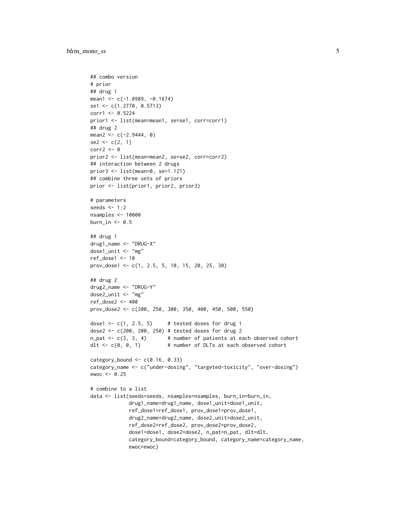```
## combo version
# prior
## drug 1
mean1 <- c(-1.0989, -0.1674)
se1 <- c(1.2770, 0.5713)
corr1 <- 0.5224
prior1 <- list(mean=mean1, se=se1, corr=corr1)
## drug 2
mean2 < -c(-2.9444, 0)se2 \leq c(2, 1)corr2 <- 0
prior2 <- list(mean=mean2, se=se2, corr=corr2)
## interaction between 2 drugs
prior3 <- list(mean=0, se=1.121)
## combine three sets of priors
prior <- list(prior1, prior2, prior3)
# parameters
seeds <- 1:2
nsamples <- 10000
burn_in \leq -0.5## drug 1
drug1_name <- "DRUG-X"
dose1_unit <- "mg"
ref_dose1 <- 10
prov_dose1 <- c(1, 2.5, 5, 10, 15, 20, 25, 30)
## drug 2
drug2_name <- "DRUG-Y"
dose2_unit <- "mg"
ref_dose2 <- 400
prov_dose2 <- c(200, 250, 300, 350, 400, 450, 500, 550)
dose1 \leftarrow c(1, 2.5, 5) # tested doses for drug 1
dose2 <- c(200, 200, 250) # tested doses for drug 2
n-pat \leq c(3, 3, 4) # number of patients at each observed cohort
dlt <- c(0, 0, 1) # number of DLTs at each observed cohort
category_bound \leq c(0.16, 0.33)
category_name <- c("under-dosing", "targeted-toxicity", "over-dosing")
ewoc <- 0.25
# combine to a list
data <- list(seeds=seeds, nsamples=nsamples, burn_in=burn_in,
             drug1_name=drug1_name, dose1_unit=dose1_unit,
             ref_dose1=ref_dose1, prov_dose1=prov_dose1,
             drug2_name=drug2_name, dose2_unit=dose2_unit,
             ref_dose2=ref_dose2, prov_dose2=prov_dose2,
             dose1=dose1, dose2=dose2, n_pat=n_pat, dlt=dlt,
             category_bound=category_bound, category_name=category_name,
             ewoc=ewoc)
```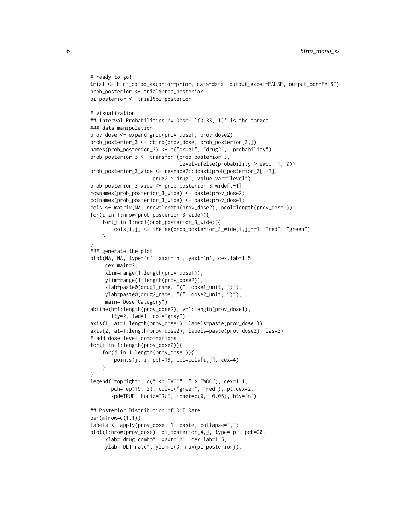```
# ready to go!
trial <- blrm_combo_ss(prior=prior, data=data, output_excel=FALSE, output_pdf=FALSE)
prob_posterior <- trial$prob_posterior
pi_posterior <- trial$pi_posterior
# visualization
## Interval Probabilities by Dose: `(0.33, 1]' is the target
### data manipulation
prov_dose <- expand.grid(prov_dose1, prov_dose2)
prob_posterior_3 <- cbind(prov_dose, prob_posterior[3,])
names(prob_posterior_3) <- c("drug1", "drug2", "probability")
prob_posterior_3 <- transform(prob_posterior_3,
                              level=ifelse(probability > ewoc, 1, 0))
prob_posterior_3_wide <- reshape2::dcast(prob_posterior_3[,-3],
                     drug2 ~ drug1, value.var="level")
prob_posterior_3_wide <- prob_posterior_3_wide[,-1]
rownames(prob_posterior_3_wide) <- paste(prov_dose2)
colnames(prob_posterior_3_wide) <- paste(prov_dose1)
cols <- matrix(NA, nrow=length(prov_dose2), ncol=length(prov_dose1))
for(i in 1:nrow(prob_posterior_3_wide)){
    for(j in 1:ncol(prob_posterior_3_wide)){
        cols[i,j] <- ifelse(prob_posterior_3_wide[i,j]==1, "red", "green")
    }
}
### generate the plot
plot(NA, NA, type='n', xaxt='n', yaxt='n', cex.lab=1.5,
    cex.main=2,
     xlim=range(1:length(prov_dose1)),
    ylim=range(1:length(prov_dose2)),
     xlab=paste0(drug1_name, "(", dose1_unit, ")"),
     ylab=paste0(drug2_name, "(", dose2_unit, ")"),
     main="Dose Category")
abline(h=1:length(prov_dose2), v=1:length(prov_dose1),
       lty=2, lwd=1, col="gray")
axis(1, at=1:length(prov_dose1), labels=paste(prov_dose1))
axis(2, at=1:length(prov_dose2), labels=paste(prov_dose2), las=2)
# add dose level combinations
for(i in 1:length(prov_dose2)){
    for(j in 1:length(prov_dose1)){
        points(j, i, pch=19, col=cols[i,j], cex=4)
    }
}
legend("topright", c(" <= EWOC", " > EWOC"), cex=1.1,
       pch=rep(19, 2), col=c("green", "red"), pt.cex=2,
       xpd=TRUE, horiz=TRUE, inset=c(0, -0.06), bty='n')
## Posterior Distribution of DLT Rate
par(mfrow=c(1,1))
labels <- apply(prov_dose, 1, paste, collapse=",")
plot(1:nrow(prov_dose), pi_posterior[4,], type="p", pch=20,
     xlab="drug combo", xaxt='n', cex.lab=1.5,
     ylab="DLT rate", ylim=c(0, max(pi_posterior)),
```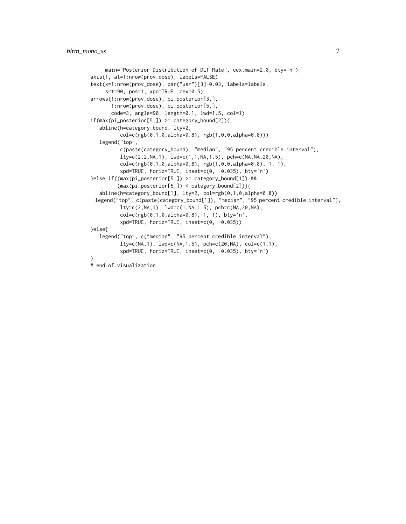```
main="Posterior Distribution of DLT Rate", cex.main=2.0, bty='n')
axis(1, at=1:nrow(prov_dose), labels=FALSE)
text(x=1:nrow(prov_dose), par("usr")[3]-0.03, labels=labels,
    srt=90, pos=1, xpd=TRUE, cex=0.5)
arrows(1:nrow(prov_dose), pi_posterior[3,],
      1:nrow(prov_dose), pi_posterior[5,],
      code=3, angle=90, length=0.1, lwd=1.5, col=1)
if(max(pi\_posterior[5,]) \geq category\_bound[2]){
  abline(h=category_bound, lty=2,
          col=c(rgb(0,1,0,alpha=0.8), rgb(1,0,0,alpha=0.8)))
  legend("top",
          c(paste(category_bound), "median", "95 percent credible interval"),
          lty=c(2,2,NA,1), lwd=c(1,1,NA,1.5), pch=c(NA,NA,20,NA),
          col=c(rgb(0,1,0,alpha=0.8), rgb(1,0,0,alpha=0.8), 1, 1),
          xpd=TRUE, horiz=TRUE, inset=c(0, -0.035), bty='n')
}else if((max(pi_posterior[5,]) >= category_bound[1]) &&
         (max(pi_posterior[5,]) < category_bound[2])){
  abline(h=category_bound[1], lty=2, col=rgb(0,1,0,alpha=0.8))
 legend("top", c(paste(category_bound[1]), "median", "95 percent credible interval"),
          lty=c(2,NA,1), lwd=c(1,NA,1.5), pch=c(NA,20,NA),
          col=c(rgb(0,1,0,alpha=0.8), 1, 1), bty='n',
          xpd=TRUE, horiz=TRUE, inset=c(0, -0.035))
}else{
  legend("top", c("median", "95 percent credible interval"),
          lty=c(NA,1), lwd=c(NA,1.5), pch=c(20,NA), col=c(1,1),
          xpd=TRUE, horiz=TRUE, inset=c(0, -0.035), bty='n')
}
# end of visualization
```